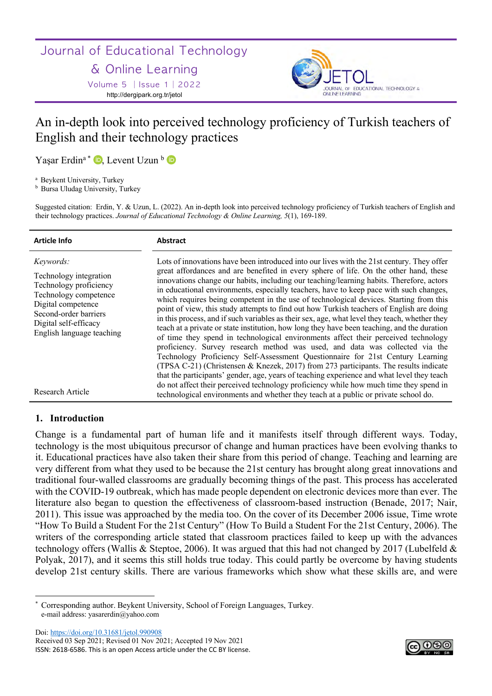Journal of Educational Technology

# & Online Learning

Volume 5 │Issue 1│2022 http://dergipark.org.tr/jetol



# An in-depth look into perceived technology proficiency of Turkish teachers of English and their technology practices

Yaşar Erdin<sup>a \*</sup> D, Levent Uzun <sup>b</sup> D

<sup>a</sup> Beykent University, Turkey

**b** Bursa Uludag University, Turkey

Suggested citation: Erdin, Y. & Uzun, L. (2022). An in-depth look into perceived technology proficiency of Turkish teachers of English and their technology practices. *Journal of Educational Technology & Online Learning, 5*(1), 169-189.

| <b>Article Info</b>                                                                                                                                                                         | Abstract                                                                                                                                                                                                                                                                                                                                                                                                                                                                                                                                                                                                                                                                                                                                                                                                                                                                                                                                                                                                                                                                                                                                                                                                                                                                                               |
|---------------------------------------------------------------------------------------------------------------------------------------------------------------------------------------------|--------------------------------------------------------------------------------------------------------------------------------------------------------------------------------------------------------------------------------------------------------------------------------------------------------------------------------------------------------------------------------------------------------------------------------------------------------------------------------------------------------------------------------------------------------------------------------------------------------------------------------------------------------------------------------------------------------------------------------------------------------------------------------------------------------------------------------------------------------------------------------------------------------------------------------------------------------------------------------------------------------------------------------------------------------------------------------------------------------------------------------------------------------------------------------------------------------------------------------------------------------------------------------------------------------|
| Keywords:<br>Technology integration<br>Technology proficiency<br>Technology competence<br>Digital competence<br>Second-order barriers<br>Digital self-efficacy<br>English language teaching | Lots of innovations have been introduced into our lives with the 21st century. They offer<br>great affordances and are benefited in every sphere of life. On the other hand, these<br>innovations change our habits, including our teaching/learning habits. Therefore, actors<br>in educational environments, especially teachers, have to keep pace with such changes,<br>which requires being competent in the use of technological devices. Starting from this<br>point of view, this study attempts to find out how Turkish teachers of English are doing<br>in this process, and if such variables as their sex, age, what level they teach, whether they<br>teach at a private or state institution, how long they have been teaching, and the duration<br>of time they spend in technological environments affect their perceived technology<br>proficiency. Survey research method was used, and data was collected via the<br>Technology Proficiency Self-Assessment Questionnaire for 21st Century Learning<br>(TPSA C-21) (Christensen & Knezek, 2017) from 273 participants. The results indicate<br>that the participants' gender, age, years of teaching experience and what level they teach<br>do not affect their perceived technology proficiency while how much time they spend in |
| Research Article                                                                                                                                                                            | technological environments and whether they teach at a public or private school do.                                                                                                                                                                                                                                                                                                                                                                                                                                                                                                                                                                                                                                                                                                                                                                                                                                                                                                                                                                                                                                                                                                                                                                                                                    |

# **1. Introduction**

Change is a fundamental part of human life and it manifests itself through different ways. Today, technology is the most ubiquitous precursor of change and human practices have been evolving thanks to it. Educational practices have also taken their share from this period of change. Teaching and learning are very different from what they used to be because the 21st century has brought along great innovations and traditional four-walled classrooms are gradually becoming things of the past. This process has accelerated with the COVID-19 outbreak, which has made people dependent on electronic devices more than ever. The literature also began to question the effectiveness of classroom-based instruction (Benade, 2017; Nair, 2011). This issue was approached by the media too. On the cover of its December 2006 issue, Time wrote "How To Build a Student For the 21st Century" (How To Build a Student For the 21st Century, 2006). The writers of the corresponding article stated that classroom practices failed to keep up with the advances technology offers (Wallis & Steptoe, 2006). It was argued that this had not changed by 2017 (Lubelfeld & Polyak, 2017), and it seems this still holds true today. This could partly be overcome by having students develop 21st century skills. There are various frameworks which show what these skills are, and were

Doi: https://doi.org/10.31681/jetol.990908 Received 03 Sep 2021; Revised 01 Nov 2021; Accepted 19 Nov 2021 ISSN: 2618-6586. This is an open Access article under the CC BY license.



Corresponding author. Beykent University, School of Foreign Languages, Turkey. e-mail address: yasarerdin@yahoo.com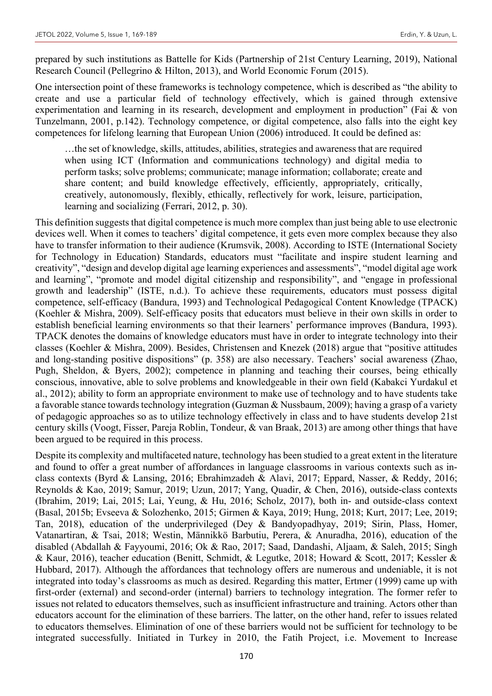prepared by such institutions as Battelle for Kids (Partnership of 21st Century Learning, 2019), National Research Council (Pellegrino & Hilton, 2013), and World Economic Forum (2015).

One intersection point of these frameworks is technology competence, which is described as "the ability to create and use a particular field of technology effectively, which is gained through extensive experimentation and learning in its research, development and employment in production" (Fai & von Tunzelmann, 2001, p.142). Technology competence, or digital competence, also falls into the eight key competences for lifelong learning that European Union (2006) introduced. It could be defined as:

…the set of knowledge, skills, attitudes, abilities, strategies and awareness that are required when using ICT (Information and communications technology) and digital media to perform tasks; solve problems; communicate; manage information; collaborate; create and share content; and build knowledge effectively, efficiently, appropriately, critically, creatively, autonomously, flexibly, ethically, reflectively for work, leisure, participation, learning and socializing (Ferrari, 2012, p. 30).

This definition suggests that digital competence is much more complex than just being able to use electronic devices well. When it comes to teachers' digital competence, it gets even more complex because they also have to transfer information to their audience (Krumsvik, 2008). According to ISTE (International Society for Technology in Education) Standards, educators must "facilitate and inspire student learning and creativity", "design and develop digital age learning experiences and assessments", "model digital age work and learning", "promote and model digital citizenship and responsibility", and "engage in professional growth and leadership" (ISTE, n.d.). To achieve these requirements, educators must possess digital competence, self-efficacy (Bandura, 1993) and Technological Pedagogical Content Knowledge (TPACK) (Koehler & Mishra, 2009). Self-efficacy posits that educators must believe in their own skills in order to establish beneficial learning environments so that their learners' performance improves (Bandura, 1993). TPACK denotes the domains of knowledge educators must have in order to integrate technology into their classes (Koehler & Mishra, 2009). Besides, Christensen and Knezek (2018) argue that "positive attitudes and long-standing positive dispositions" (p. 358) are also necessary. Teachers' social awareness (Zhao, Pugh, Sheldon, & Byers, 2002); competence in planning and teaching their courses, being ethically conscious, innovative, able to solve problems and knowledgeable in their own field (Kabakci Yurdakul et al., 2012); ability to form an appropriate environment to make use of technology and to have students take a favorable stance towards technology integration (Guzman & Nussbaum, 2009); having a grasp of a variety of pedagogic approaches so as to utilize technology effectively in class and to have students develop 21st century skills (Voogt, Fisser, Pareja Roblin, Tondeur, & van Braak, 2013) are among other things that have been argued to be required in this process.

Despite its complexity and multifaceted nature, technology has been studied to a great extent in the literature and found to offer a great number of affordances in language classrooms in various contexts such as inclass contexts (Byrd & Lansing, 2016; Ebrahimzadeh & Alavi, 2017; Eppard, Nasser, & Reddy, 2016; Reynolds & Kao, 2019; Samur, 2019; Uzun, 2017; Yang, Quadir, & Chen, 2016), outside-class contexts (Ibrahim, 2019; Lai, 2015; Lai, Yeung, & Hu, 2016; Scholz, 2017), both in- and outside-class context (Basal, 2015b; Evseeva & Solozhenko, 2015; Girmen & Kaya, 2019; Hung, 2018; Kurt, 2017; Lee, 2019; Tan, 2018), education of the underprivileged (Dey & Bandyopadhyay, 2019; Sirin, Plass, Homer, Vatanartiran, & Tsai, 2018; Westin, Männikkö Barbutiu, Perera, & Anuradha, 2016), education of the disabled (Abdallah & Fayyoumi, 2016; Ok & Rao, 2017; Saad, Dandashi, Aljaam, & Saleh, 2015; Singh & Kaur, 2016), teacher education (Benitt, Schmidt, & Legutke, 2018; Howard & Scott, 2017; Kessler & Hubbard, 2017). Although the affordances that technology offers are numerous and undeniable, it is not integrated into today's classrooms as much as desired. Regarding this matter, Ertmer (1999) came up with first-order (external) and second-order (internal) barriers to technology integration. The former refer to issues not related to educators themselves, such as insufficient infrastructure and training. Actors other than educators account for the elimination of these barriers. The latter, on the other hand, refer to issues related to educators themselves. Elimination of one of these barriers would not be sufficient for technology to be integrated successfully. Initiated in Turkey in 2010, the Fatih Project, i.e. Movement to Increase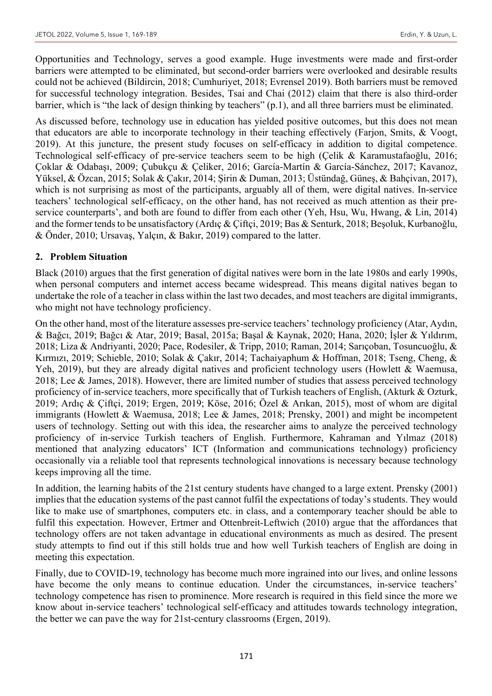Opportunities and Technology, serves a good example. Huge investments were made and first-order barriers were attempted to be eliminated, but second-order barriers were overlooked and desirable results could not be achieved (Bildircin, 2018; Cumhuriyet, 2018; Evrensel 2019). Both barriers must be removed for successful technology integration. Besides, Tsai and Chai (2012) claim that there is also third-order barrier, which is "the lack of design thinking by teachers" (p.1), and all three barriers must be eliminated.

As discussed before, technology use in education has yielded positive outcomes, but this does not mean that educators are able to incorporate technology in their teaching effectively (Farjon, Smits, & Voogt, 2019). At this juncture, the present study focuses on self-efficacy in addition to digital competence. Technological self-efficacy of pre-service teachers seem to be high (Çelik & Karamustafaoğlu, 2016; Çoklar & Odabaşı, 2009; Çubukçu & Çeliker, 2016; García-Martín & García-Sánchez, 2017; Kavanoz, Yüksel, & Özcan, 2015; Solak & Çakır, 2014; Şirin & Duman, 2013; Üstündağ, Güneş, & Bahçivan, 2017), which is not surprising as most of the participants, arguably all of them, were digital natives. In-service teachers' technological self-efficacy, on the other hand, has not received as much attention as their preservice counterparts', and both are found to differ from each other (Yeh, Hsu, Wu, Hwang, & Lin, 2014) and the former tends to be unsatisfactory (Ardıç & Çiftçi, 2019; Bas & Senturk, 2018; Beşoluk, Kurbanoğlu, & Önder, 2010; Ursavaş, Yalçın, & Bakır, 2019) compared to the latter.

# **2. Problem Situation**

Black (2010) argues that the first generation of digital natives were born in the late 1980s and early 1990s, when personal computers and internet access became widespread. This means digital natives began to undertake the role of a teacher in class within the last two decades, and most teachers are digital immigrants, who might not have technology proficiency.

On the other hand, most of the literature assesses pre-service teachers' technology proficiency (Atar, Aydın, & Bağcı, 2019; Bağcı & Atar, 2019; Basal, 2015a; Başal & Kaynak, 2020; Hana, 2020; İşler & Yıldırım, 2018; Liza & Andriyanti, 2020; Pace, Rodesiler, & Tripp, 2010; Raman, 2014; Sarıçoban, Tosuncuoğlu, & Kırmızı, 2019; Schieble, 2010; Solak & Çakır, 2014; Tachaiyaphum & Hoffman, 2018; Tseng, Cheng, & Yeh, 2019), but they are already digital natives and proficient technology users (Howlett & Waemusa, 2018; Lee & James, 2018). However, there are limited number of studies that assess perceived technology proficiency of in-service teachers, more specifically that of Turkish teachers of English, (Akturk & Ozturk, 2019; Ardıç & Çiftçi, 2019; Ergen, 2019; Köse, 2016; Özel & Arıkan, 2015), most of whom are digital immigrants (Howlett & Waemusa, 2018; Lee & James, 2018; Prensky, 2001) and might be incompetent users of technology. Setting out with this idea, the researcher aims to analyze the perceived technology proficiency of in-service Turkish teachers of English. Furthermore, Kahraman and Yılmaz (2018) mentioned that analyzing educators' ICT (Information and communications technology) proficiency occasionally via a reliable tool that represents technological innovations is necessary because technology keeps improving all the time.

In addition, the learning habits of the 21st century students have changed to a large extent. Prensky (2001) implies that the education systems of the past cannot fulfil the expectations of today's students. They would like to make use of smartphones, computers etc. in class, and a contemporary teacher should be able to fulfil this expectation. However, Ertmer and Ottenbreit-Leftwich (2010) argue that the affordances that technology offers are not taken advantage in educational environments as much as desired. The present study attempts to find out if this still holds true and how well Turkish teachers of English are doing in meeting this expectation.

Finally, due to COVID-19, technology has become much more ingrained into our lives, and online lessons have become the only means to continue education. Under the circumstances, in-service teachers' technology competence has risen to prominence. More research is required in this field since the more we know about in-service teachers' technological self-efficacy and attitudes towards technology integration, the better we can pave the way for 21st-century classrooms (Ergen, 2019).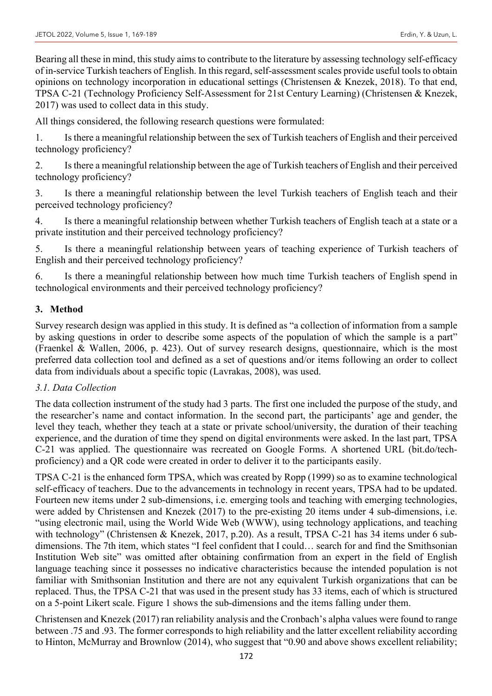Bearing all these in mind, this study aims to contribute to the literature by assessing technology self-efficacy of in-service Turkish teachers of English. In this regard, self-assessment scales provide useful tools to obtain opinions on technology incorporation in educational settings (Christensen & Knezek, 2018). To that end, TPSA C-21 (Technology Proficiency Self-Assessment for 21st Century Learning) (Christensen & Knezek, 2017) was used to collect data in this study.

All things considered, the following research questions were formulated:

1. Is there a meaningful relationship between the sex of Turkish teachers of English and their perceived technology proficiency?

2. Is there a meaningful relationship between the age of Turkish teachers of English and their perceived technology proficiency?

3. Is there a meaningful relationship between the level Turkish teachers of English teach and their perceived technology proficiency?

4. Is there a meaningful relationship between whether Turkish teachers of English teach at a state or a private institution and their perceived technology proficiency?

5. Is there a meaningful relationship between years of teaching experience of Turkish teachers of English and their perceived technology proficiency?

6. Is there a meaningful relationship between how much time Turkish teachers of English spend in technological environments and their perceived technology proficiency?

# **3. Method**

Survey research design was applied in this study. It is defined as "a collection of information from a sample by asking questions in order to describe some aspects of the population of which the sample is a part" (Fraenkel & Wallen, 2006, p. 423). Out of survey research designs, questionnaire, which is the most preferred data collection tool and defined as a set of questions and/or items following an order to collect data from individuals about a specific topic (Lavrakas, 2008), was used.

# *3.1. Data Collection*

The data collection instrument of the study had 3 parts. The first one included the purpose of the study, and the researcher's name and contact information. In the second part, the participants' age and gender, the level they teach, whether they teach at a state or private school/university, the duration of their teaching experience, and the duration of time they spend on digital environments were asked. In the last part, TPSA C-21 was applied. The questionnaire was recreated on Google Forms. A shortened URL (bit.do/techproficiency) and a QR code were created in order to deliver it to the participants easily.

TPSA C-21 is the enhanced form TPSA, which was created by Ropp (1999) so as to examine technological self-efficacy of teachers. Due to the advancements in technology in recent years, TPSA had to be updated. Fourteen new items under 2 sub-dimensions, i.e. emerging tools and teaching with emerging technologies, were added by Christensen and Knezek (2017) to the pre-existing 20 items under 4 sub-dimensions, i.e. "using electronic mail, using the World Wide Web (WWW), using technology applications, and teaching with technology" (Christensen & Knezek, 2017, p.20). As a result, TPSA C-21 has 34 items under 6 subdimensions. The 7th item, which states "I feel confident that I could… search for and find the Smithsonian Institution Web site" was omitted after obtaining confirmation from an expert in the field of English language teaching since it possesses no indicative characteristics because the intended population is not familiar with Smithsonian Institution and there are not any equivalent Turkish organizations that can be replaced. Thus, the TPSA C-21 that was used in the present study has 33 items, each of which is structured on a 5-point Likert scale. Figure 1 shows the sub-dimensions and the items falling under them.

Christensen and Knezek (2017) ran reliability analysis and the Cronbach's alpha values were found to range between .75 and .93. The former corresponds to high reliability and the latter excellent reliability according to Hinton, McMurray and Brownlow (2014), who suggest that "0.90 and above shows excellent reliability;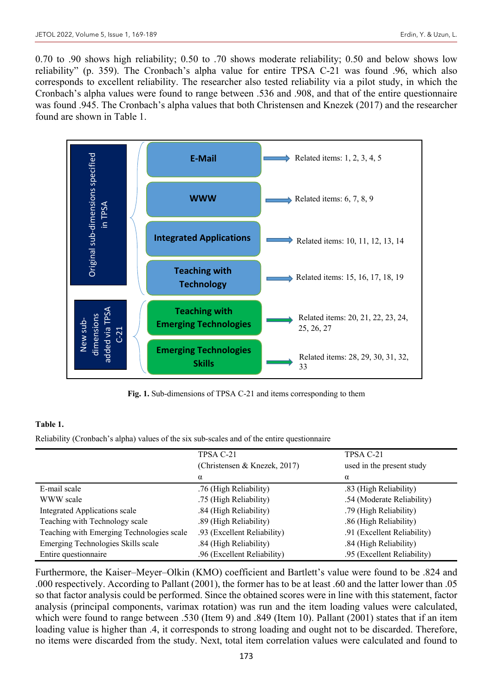0.70 to .90 shows high reliability; 0.50 to .70 shows moderate reliability; 0.50 and below shows low reliability" (p. 359). The Cronbach's alpha value for entire TPSA C-21 was found .96, which also corresponds to excellent reliability. The researcher also tested reliability via a pilot study, in which the Cronbach's alpha values were found to range between .536 and .908, and that of the entire questionnaire was found .945. The Cronbach's alpha values that both Christensen and Knezek (2017) and the researcher found are shown in Table 1.



**Fig. 1.** Sub-dimensions of TPSA C-21 and items corresponding to them

# **Table 1.**

Reliability (Cronbach's alpha) values of the six sub-scales and of the entire questionnaire

|                                           | TPSA C-21                    | TPSA C-21                   |
|-------------------------------------------|------------------------------|-----------------------------|
|                                           | (Christensen & Knezek, 2017) | used in the present study   |
|                                           | α                            | α                           |
| E-mail scale                              | .76 (High Reliability)       | .83 (High Reliability)      |
| WWW scale                                 | .75 (High Reliability)       | .54 (Moderate Reliability)  |
| Integrated Applications scale             | .84 (High Reliability)       | .79 (High Reliability)      |
| Teaching with Technology scale            | .89 (High Reliability)       | .86 (High Reliability)      |
| Teaching with Emerging Technologies scale | .93 (Excellent Reliability)  | .91 (Excellent Reliability) |
| Emerging Technologies Skills scale        | .84 (High Reliability)       | .84 (High Reliability)      |
| Entire questionnaire                      | .96 (Excellent Reliability)  | .95 (Excellent Reliability) |

Furthermore, the Kaiser–Meyer–Olkin (KMO) coefficient and Bartlett's value were found to be .824 and .000 respectively. According to Pallant (2001), the former has to be at least .60 and the latter lower than .05 so that factor analysis could be performed. Since the obtained scores were in line with this statement, factor analysis (principal components, varimax rotation) was run and the item loading values were calculated, which were found to range between .530 (Item 9) and .849 (Item 10). Pallant (2001) states that if an item loading value is higher than .4, it corresponds to strong loading and ought not to be discarded. Therefore, no items were discarded from the study. Next, total item correlation values were calculated and found to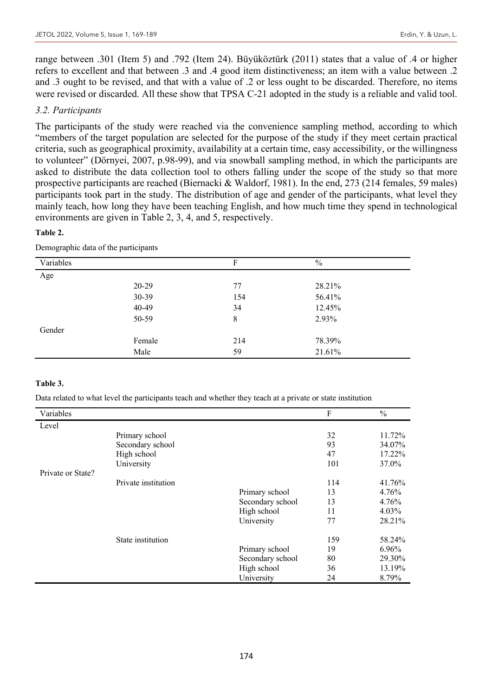range between .301 (Item 5) and .792 (Item 24). Büyüköztürk (2011) states that a value of .4 or higher refers to excellent and that between .3 and .4 good item distinctiveness; an item with a value between .2 and .3 ought to be revised, and that with a value of .2 or less ought to be discarded. Therefore, no items were revised or discarded. All these show that TPSA C-21 adopted in the study is a reliable and valid tool.

#### *3.2. Participants*

The participants of the study were reached via the convenience sampling method, according to which "members of the target population are selected for the purpose of the study if they meet certain practical criteria, such as geographical proximity, availability at a certain time, easy accessibility, or the willingness to volunteer" (Dörnyei, 2007, p.98-99), and via snowball sampling method, in which the participants are asked to distribute the data collection tool to others falling under the scope of the study so that more prospective participants are reached (Biernacki & Waldorf, 1981). In the end, 273 (214 females, 59 males) participants took part in the study. The distribution of age and gender of the participants, what level they mainly teach, how long they have been teaching English, and how much time they spend in technological environments are given in Table 2, 3, 4, and 5, respectively.

#### **Table 2.**

| Variables |        | F   | $\%$   |  |
|-----------|--------|-----|--------|--|
| Age       |        |     |        |  |
|           | 20-29  | 77  | 28.21% |  |
|           | 30-39  | 154 | 56.41% |  |
|           | 40-49  | 34  | 12.45% |  |
|           | 50-59  | 8   | 2.93%  |  |
| Gender    |        |     |        |  |
|           | Female | 214 | 78.39% |  |
|           | Male   | 59  | 21.61% |  |

Demographic data of the participants

#### **Table 3.**

Data related to what level the participants teach and whether they teach at a private or state institution

| Variables         |                     |                  | F   | $\frac{0}{0}$ |
|-------------------|---------------------|------------------|-----|---------------|
| Level             |                     |                  |     |               |
|                   | Primary school      |                  | 32  | 11.72%        |
|                   | Secondary school    |                  | 93  | 34.07%        |
|                   | High school         |                  | 47  | 17.22%        |
|                   | University          |                  | 101 | 37.0%         |
| Private or State? |                     |                  |     |               |
|                   | Private institution |                  | 114 | 41.76%        |
|                   |                     | Primary school   | 13  | 4.76%         |
|                   |                     | Secondary school | 13  | 4.76%         |
|                   |                     | High school      | 11  | 4.03%         |
|                   |                     | University       | 77  | 28.21%        |
|                   | State institution   |                  | 159 | 58.24%        |
|                   |                     | Primary school   | 19  | 6.96%         |
|                   |                     | Secondary school | 80  | 29.30%        |
|                   |                     | High school      | 36  | 13.19%        |
|                   |                     | University       | 24  | 8.79%         |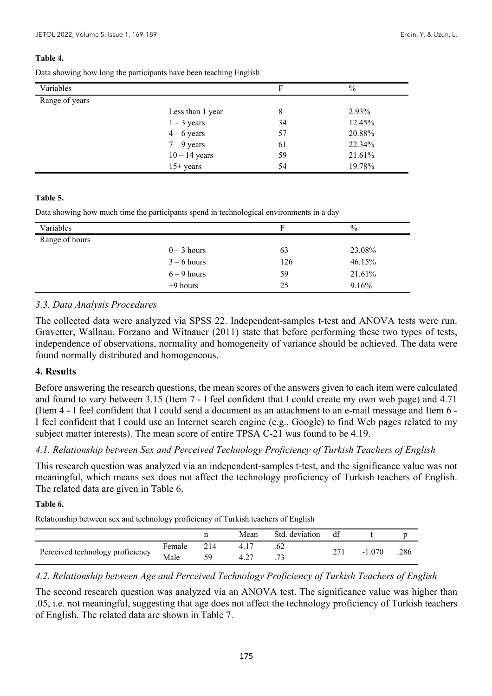#### **Table 4.**

Data showing how long the participants have been teaching English

| Variables      |                  | F  | $\frac{0}{0}$ |
|----------------|------------------|----|---------------|
| Range of years |                  |    |               |
|                | Less than 1 year | 8  | 2.93%         |
|                | $1 - 3$ years    | 34 | 12.45%        |
|                | $4-6$ years      | 57 | 20.88%        |
|                | $7 - 9$ years    | 61 | 22.34%        |
|                | $10 - 14$ years  | 59 | 21.61%        |
|                | $15+$ years      | 54 | 19.78%        |

#### **Table 5.**

Data showing how much time the participants spend in technological environments in a day

| Variables      |               | F   | $\%$   |
|----------------|---------------|-----|--------|
| Range of hours |               |     |        |
|                | $0 - 3$ hours | 63  | 23.08% |
|                | $3 - 6$ hours | 126 | 46.15% |
|                | $6 - 9$ hours | 59  | 21.61% |
|                | $+9$ hours    | 25  | 9.16%  |

### *3.3. Data Analysis Procedures*

The collected data were analyzed via SPSS 22. Independent-samples t-test and ANOVA tests were run. Gravetter, Wallnau, Forzano and Witnauer (2011) state that before performing these two types of tests, independence of observations, normality and homogeneity of variance should be achieved. The data were found normally distributed and homogeneous.

# **4. Results**

Before answering the research questions, the mean scores of the answers given to each item were calculated and found to vary between 3.15 (Item 7 - I feel confident that I could create my own web page) and 4.71 (Item 4 - I feel confident that I could send a document as an attachment to an e-mail message and Item 6 - I feel confident that I could use an Internet search engine (e.g., Google) to find Web pages related to my subject matter interests). The mean score of entire TPSA C-21 was found to be 4.19.

# *4.1. Relationship between Sex and Perceived Technology Proficiency of Turkish Teachers of English*

This research question was analyzed via an independent-samples t-test, and the significance value was not meaningful, which means sex does not affect the technology proficiency of Turkish teachers of English. The related data are given in Table 6.

#### **Table 6.**

Relationship between sex and technology proficiency of Turkish teachers of English

|                                  |        |     | Mean | Std. deviation    | df |          |      |
|----------------------------------|--------|-----|------|-------------------|----|----------|------|
|                                  | Female | 214 |      | .62               |    | $-1.070$ | .286 |
| Perceived technology proficiency | Male   |     |      | $\mathbf{a}$<br>. |    |          |      |

# *4.2. Relationship between Age and Perceived Technology Proficiency of Turkish Teachers of English*

The second research question was analyzed via an ANOVA test. The significance value was higher than .05, i.e. not meaningful, suggesting that age does not affect the technology proficiency of Turkish teachers of English. The related data are shown in Table 7.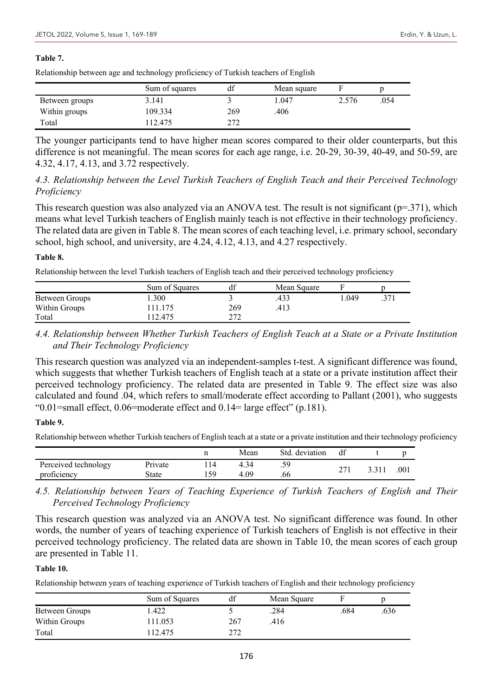#### **Table 7.**

Relationship between age and technology proficiency of Turkish teachers of English

|                | Sum of squares | df  | Mean square |       |      |
|----------------|----------------|-----|-------------|-------|------|
| Between groups | 3.141          |     | 1.047       | 2.576 | .054 |
| Within groups  | 109.334        | 269 | .406        |       |      |
| Total          | 112.475        | ריר |             |       |      |

The younger participants tend to have higher mean scores compared to their older counterparts, but this difference is not meaningful. The mean scores for each age range, i.e. 20-29, 30-39, 40-49, and 50-59, are 4.32, 4.17, 4.13, and 3.72 respectively.

# *4.3. Relationship between the Level Turkish Teachers of English Teach and their Perceived Technology Proficiency*

This research question was also analyzed via an ANOVA test. The result is not significant ( $p=371$ ), which means what level Turkish teachers of English mainly teach is not effective in their technology proficiency. The related data are given in Table 8. The mean scores of each teaching level, i.e. primary school, secondary school, high school, and university, are 4.24, 4.12, 4.13, and 4.27 respectively.

#### **Table 8.**

Relationship between the level Turkish teachers of English teach and their perceived technology proficiency

|                | Sum of Squares | df         | Mean Square |      |    |
|----------------|----------------|------------|-------------|------|----|
| Between Groups | .300           |            | .433        | .049 | 37 |
| Within Groups  | 11.175         | 269        | .413        |      |    |
| Total          | 12.475         | ריר<br>∠⊥∠ |             |      |    |

*4.4. Relationship between Whether Turkish Teachers of English Teach at a State or a Private Institution and Their Technology Proficiency*

This research question was analyzed via an independent-samples t-test. A significant difference was found, which suggests that whether Turkish teachers of English teach at a state or a private institution affect their perceived technology proficiency. The related data are presented in Table 9. The effect size was also calculated and found .04, which refers to small/moderate effect according to Pallant (2001), who suggests "0.01=small effect, 0.06=moderate effect and 0.14= large effect" (p.181).

#### **Table 9.**

Relationship between whether Turkish teachers of English teach at a state or a private institution and their technology proficiency

|                      |         | Mean | Std. deviation | df |      |
|----------------------|---------|------|----------------|----|------|
| Perceived technology | Private |      | 50<br>ر ب      | ົ  | .001 |
| proficiency          | State   | .09  | .00            |    |      |

### *4.5. Relationship between Years of Teaching Experience of Turkish Teachers of English and Their Perceived Technology Proficiency*

This research question was analyzed via an ANOVA test. No significant difference was found. In other words, the number of years of teaching experience of Turkish teachers of English is not effective in their perceived technology proficiency. The related data are shown in Table 10, the mean scores of each group are presented in Table 11.

### **Table 10.**

Relationship between years of teaching experience of Turkish teachers of English and their technology proficiency

|                | Sum of Squares | df  | Mean Square |      |      |
|----------------|----------------|-----|-------------|------|------|
| Between Groups | .422           |     | .284        | .684 | .636 |
| Within Groups  | 11.053         | 267 | .416        |      |      |
| Total          | 12.475         | 272 |             |      |      |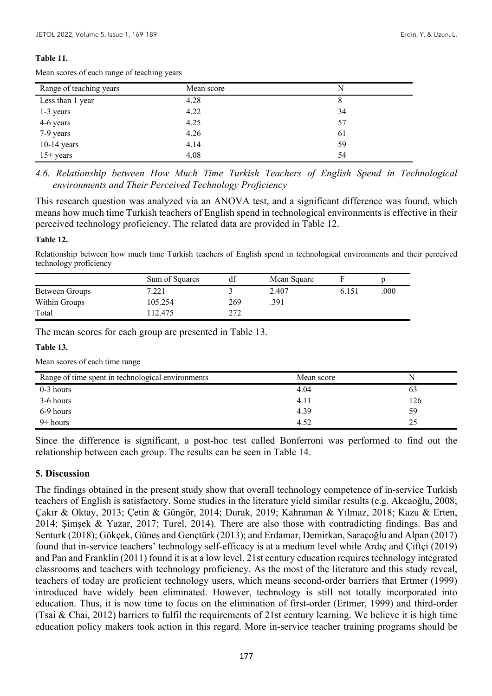#### **Table 11.**

| Range of teaching years | Mean score | N  |
|-------------------------|------------|----|
| Less than 1 year        | 4.28       | 8  |
| 1-3 years               | 4.22       | 34 |
| 4-6 years               | 4.25       | 57 |
| $7-9$ years             | 4.26       | 61 |
| $10-14$ years           | 4.14       | 59 |
| $15+$ years             | 4.08       | 54 |

Mean scores of each range of teaching years

*4.6. Relationship between How Much Time Turkish Teachers of English Spend in Technological environments and Their Perceived Technology Proficiency*

This research question was analyzed via an ANOVA test, and a significant difference was found, which means how much time Turkish teachers of English spend in technological environments is effective in their perceived technology proficiency. The related data are provided in Table 12.

#### **Table 12.**

Relationship between how much time Turkish teachers of English spend in technological environments and their perceived technology proficiency

|                | Sum of Squares | df  | Mean Square |       |      |
|----------------|----------------|-----|-------------|-------|------|
| Between Groups | 7.221          |     | 2.407       | 6.151 | .000 |
| Within Groups  | 105.254        | 269 | .391        |       |      |
| Total          | 112.475        | 272 |             |       |      |

The mean scores for each group are presented in Table 13.

#### **Table 13.**

Mean scores of each time range

| Range of time spent in technological environments | Mean score | N   |
|---------------------------------------------------|------------|-----|
| $0-3$ hours                                       | 4.04       |     |
| 3-6 hours                                         | 4.11       | 126 |
| 6-9 hours                                         | 4.39       | 59  |
| $9+ hours$                                        | 4.52       |     |

Since the difference is significant, a post-hoc test called Bonferroni was performed to find out the relationship between each group. The results can be seen in Table 14.

#### **5. Discussion**

The findings obtained in the present study show that overall technology competence of in-service Turkish teachers of English is satisfactory. Some studies in the literature yield similar results (e.g. Akcaoğlu, 2008; Çakır & Oktay, 2013; Çetin & Güngör, 2014; Durak, 2019; Kahraman & Yılmaz, 2018; Kazu & Erten, 2014; Şimşek & Yazar, 2017; Turel, 2014). There are also those with contradicting findings. Bas and Senturk (2018); Gökçek, Güneş and Gençtürk (2013); and Erdamar, Demirkan, Saraçoğlu and Alpan (2017) found that in-service teachers' technology self-efficacy is at a medium level while Ardıç and Çiftçi (2019) and Pan and Franklin (2011) found it is at a low level. 21st century education requires technology integrated classrooms and teachers with technology proficiency. As the most of the literature and this study reveal, teachers of today are proficient technology users, which means second-order barriers that Ertmer (1999) introduced have widely been eliminated. However, technology is still not totally incorporated into education. Thus, it is now time to focus on the elimination of first-order (Ertmer, 1999) and third-order (Tsai & Chai, 2012) barriers to fulfil the requirements of 21st century learning. We believe it is high time education policy makers took action in this regard. More in-service teacher training programs should be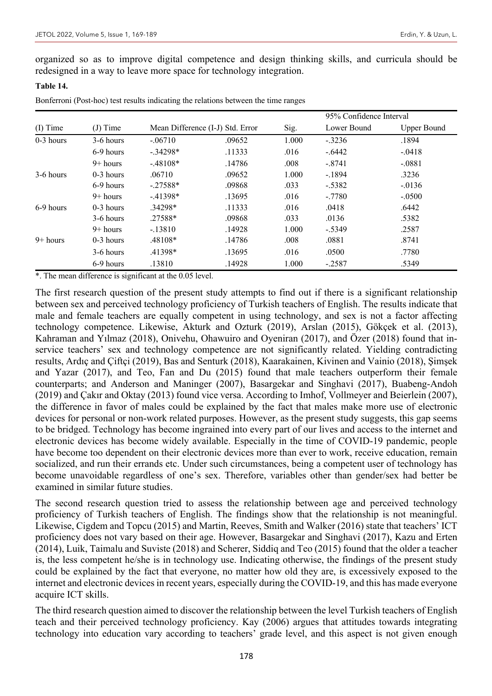organized so as to improve digital competence and design thinking skills, and curricula should be redesigned in a way to leave more space for technology integration.

#### **Table 14.**

Bonferroni (Post-hoc) test results indicating the relations between the time ranges

| (I) Time    | $(J)$ Time  | Mean Difference (I-J) Std. Error |        | Sig.  | 95% Confidence Interval |             |
|-------------|-------------|----------------------------------|--------|-------|-------------------------|-------------|
|             |             |                                  |        |       | Lower Bound             | Upper Bound |
| $0-3$ hours | 3-6 hours   | $-.06710$                        | .09652 | 1.000 | $-.3236$                | .1894       |
|             | 6-9 hours   | $-.34298*$                       | .11333 | .016  | $-.6442$                | $-.0418$    |
|             | $9+$ hours  | $-.48108*$                       | .14786 | .008  | $-.8741$                | $-.0881$    |
| 3-6 hours   | $0-3$ hours | .06710                           | .09652 | 1.000 | $-1894$                 | .3236       |
|             | 6-9 hours   | $-.27588*$                       | .09868 | .033  | $-.5382$                | $-0.0136$   |
|             | $9+$ hours  | $-41398*$                        | .13695 | .016  | $-.7780$                | $-.0500$    |
| 6-9 hours   | $0-3$ hours | $.34298*$                        | .11333 | .016  | .0418                   | .6442       |
|             | 3-6 hours   | .27588*                          | .09868 | .033  | .0136                   | .5382       |
|             | $9+$ hours  | $-.13810$                        | .14928 | 1.000 | $-.5349$                | .2587       |
| $9+$ hours  | $0-3$ hours | .48108*                          | .14786 | .008  | .0881                   | .8741       |
|             | 3-6 hours   | .41398*                          | .13695 | .016  | .0500                   | .7780       |
|             | 6-9 hours   | .13810                           | .14928 | 1.000 | $-.2587$                | .5349       |

\*. The mean difference is significant at the 0.05 level.

The first research question of the present study attempts to find out if there is a significant relationship between sex and perceived technology proficiency of Turkish teachers of English. The results indicate that male and female teachers are equally competent in using technology, and sex is not a factor affecting technology competence. Likewise, Akturk and Ozturk (2019), Arslan (2015), Gökçek et al. (2013), Kahraman and Yılmaz (2018), Onivehu, Ohawuiro and Oyeniran (2017), and Özer (2018) found that inservice teachers' sex and technology competence are not significantly related. Yielding contradicting results, Ardıç and Çiftçi (2019), Bas and Senturk (2018), Kaarakainen, Kivinen and Vainio (2018), Şimşek and Yazar (2017), and Teo, Fan and Du (2015) found that male teachers outperform their female counterparts; and Anderson and Maninger (2007), Basargekar and Singhavi (2017), Buabeng-Andoh (2019) and Çakır and Oktay (2013) found vice versa. According to Imhof, Vollmeyer and Beierlein (2007), the difference in favor of males could be explained by the fact that males make more use of electronic devices for personal or non-work related purposes. However, as the present study suggests, this gap seems to be bridged. Technology has become ingrained into every part of our lives and access to the internet and electronic devices has become widely available. Especially in the time of COVID-19 pandemic, people have become too dependent on their electronic devices more than ever to work, receive education, remain socialized, and run their errands etc. Under such circumstances, being a competent user of technology has become unavoidable regardless of one's sex. Therefore, variables other than gender/sex had better be examined in similar future studies.

The second research question tried to assess the relationship between age and perceived technology proficiency of Turkish teachers of English. The findings show that the relationship is not meaningful. Likewise, Cigdem and Topcu (2015) and Martin, Reeves, Smith and Walker (2016) state that teachers' ICT proficiency does not vary based on their age. However, Basargekar and Singhavi (2017), Kazu and Erten (2014), Luik, Taimalu and Suviste (2018) and Scherer, Siddiq and Teo (2015) found that the older a teacher is, the less competent he/she is in technology use. Indicating otherwise, the findings of the present study could be explained by the fact that everyone, no matter how old they are, is excessively exposed to the internet and electronic devices in recent years, especially during the COVID-19, and this has made everyone acquire ICT skills.

The third research question aimed to discover the relationship between the level Turkish teachers of English teach and their perceived technology proficiency. Kay (2006) argues that attitudes towards integrating technology into education vary according to teachers' grade level, and this aspect is not given enough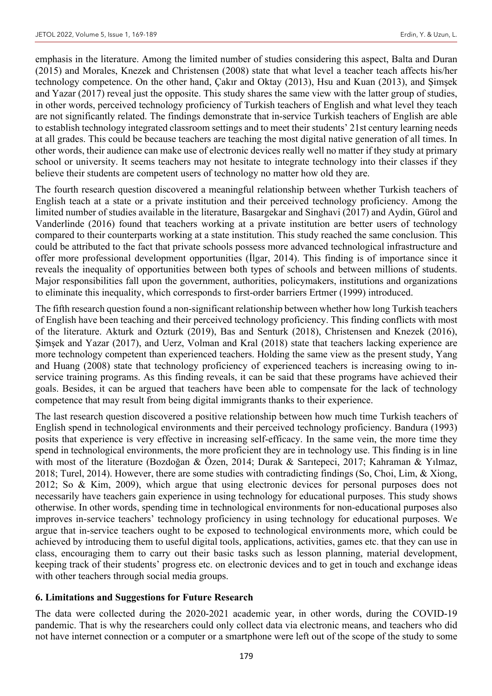emphasis in the literature. Among the limited number of studies considering this aspect, Balta and Duran (2015) and Morales, Knezek and Christensen (2008) state that what level a teacher teach affects his/her technology competence. On the other hand, Çakır and Oktay (2013), Hsu and Kuan (2013), and Şimşek and Yazar (2017) reveal just the opposite. This study shares the same view with the latter group of studies, in other words, perceived technology proficiency of Turkish teachers of English and what level they teach are not significantly related. The findings demonstrate that in-service Turkish teachers of English are able to establish technology integrated classroom settings and to meet their students' 21st century learning needs at all grades. This could be because teachers are teaching the most digital native generation of all times. In other words, their audience can make use of electronic devices really well no matter if they study at primary school or university. It seems teachers may not hesitate to integrate technology into their classes if they believe their students are competent users of technology no matter how old they are.

The fourth research question discovered a meaningful relationship between whether Turkish teachers of English teach at a state or a private institution and their perceived technology proficiency. Among the limited number of studies available in the literature, Basargekar and Singhavi (2017) and Aydin, Gürol and Vanderlinde (2016) found that teachers working at a private institution are better users of technology compared to their counterparts working at a state institution. This study reached the same conclusion. This could be attributed to the fact that private schools possess more advanced technological infrastructure and offer more professional development opportunities (İlgar, 2014). This finding is of importance since it reveals the inequality of opportunities between both types of schools and between millions of students. Major responsibilities fall upon the government, authorities, policymakers, institutions and organizations to eliminate this inequality, which corresponds to first-order barriers Ertmer (1999) introduced.

The fifth research question found a non-significant relationship between whether how long Turkish teachers of English have been teaching and their perceived technology proficiency. This finding conflicts with most of the literature. Akturk and Ozturk (2019), Bas and Senturk (2018), Christensen and Knezek (2016), Şimşek and Yazar (2017), and Uerz, Volman and Kral (2018) state that teachers lacking experience are more technology competent than experienced teachers. Holding the same view as the present study, Yang and Huang (2008) state that technology proficiency of experienced teachers is increasing owing to inservice training programs. As this finding reveals, it can be said that these programs have achieved their goals. Besides, it can be argued that teachers have been able to compensate for the lack of technology competence that may result from being digital immigrants thanks to their experience.

The last research question discovered a positive relationship between how much time Turkish teachers of English spend in technological environments and their perceived technology proficiency. Bandura (1993) posits that experience is very effective in increasing self-efficacy. In the same vein, the more time they spend in technological environments, the more proficient they are in technology use. This finding is in line with most of the literature (Bozdoğan & Özen, 2014; Durak & Sarıtepeci, 2017; Kahraman & Yılmaz, 2018; Turel, 2014). However, there are some studies with contradicting findings (So, Choi, Lim, & Xiong, 2012; So & Kim, 2009), which argue that using electronic devices for personal purposes does not necessarily have teachers gain experience in using technology for educational purposes. This study shows otherwise. In other words, spending time in technological environments for non-educational purposes also improves in-service teachers' technology proficiency in using technology for educational purposes. We argue that in-service teachers ought to be exposed to technological environments more, which could be achieved by introducing them to useful digital tools, applications, activities, games etc. that they can use in class, encouraging them to carry out their basic tasks such as lesson planning, material development, keeping track of their students' progress etc. on electronic devices and to get in touch and exchange ideas with other teachers through social media groups.

# **6. Limitations and Suggestions for Future Research**

The data were collected during the 2020-2021 academic year, in other words, during the COVID-19 pandemic. That is why the researchers could only collect data via electronic means, and teachers who did not have internet connection or a computer or a smartphone were left out of the scope of the study to some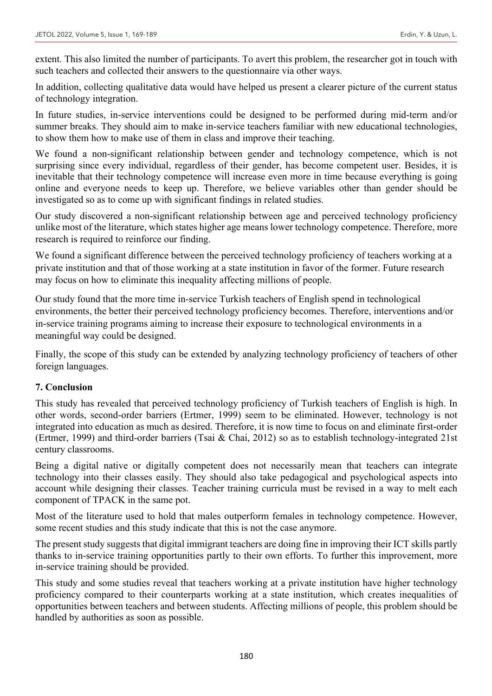extent. This also limited the number of participants. To avert this problem, the researcher got in touch with such teachers and collected their answers to the questionnaire via other ways.

In addition, collecting qualitative data would have helped us present a clearer picture of the current status of technology integration.

In future studies, in-service interventions could be designed to be performed during mid-term and/or summer breaks. They should aim to make in-service teachers familiar with new educational technologies, to show them how to make use of them in class and improve their teaching.

We found a non-significant relationship between gender and technology competence, which is not surprising since every individual, regardless of their gender, has become competent user. Besides, it is inevitable that their technology competence will increase even more in time because everything is going online and everyone needs to keep up. Therefore, we believe variables other than gender should be investigated so as to come up with significant findings in related studies.

Our study discovered a non-significant relationship between age and perceived technology proficiency unlike most of the literature, which states higher age means lower technology competence. Therefore, more research is required to reinforce our finding.

We found a significant difference between the perceived technology proficiency of teachers working at a private institution and that of those working at a state institution in favor of the former. Future research may focus on how to eliminate this inequality affecting millions of people.

Our study found that the more time in-service Turkish teachers of English spend in technological environments, the better their perceived technology proficiency becomes. Therefore, interventions and/or in-service training programs aiming to increase their exposure to technological environments in a meaningful way could be designed.

Finally, the scope of this study can be extended by analyzing technology proficiency of teachers of other foreign languages.

# **7. Conclusion**

This study has revealed that perceived technology proficiency of Turkish teachers of English is high. In other words, second-order barriers (Ertmer, 1999) seem to be eliminated. However, technology is not integrated into education as much as desired. Therefore, it is now time to focus on and eliminate first-order (Ertmer, 1999) and third-order barriers (Tsai & Chai, 2012) so as to establish technology-integrated 21st century classrooms.

Being a digital native or digitally competent does not necessarily mean that teachers can integrate technology into their classes easily. They should also take pedagogical and psychological aspects into account while designing their classes. Teacher training curricula must be revised in a way to melt each component of TPACK in the same pot.

Most of the literature used to hold that males outperform females in technology competence. However, some recent studies and this study indicate that this is not the case anymore.

The present study suggests that digital immigrant teachers are doing fine in improving their ICT skills partly thanks to in-service training opportunities partly to their own efforts. To further this improvement, more in-service training should be provided.

This study and some studies reveal that teachers working at a private institution have higher technology proficiency compared to their counterparts working at a state institution, which creates inequalities of opportunities between teachers and between students. Affecting millions of people, this problem should be handled by authorities as soon as possible.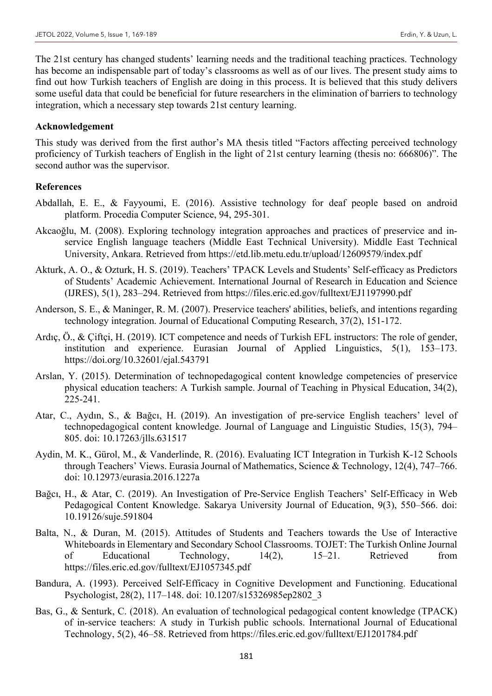The 21st century has changed students' learning needs and the traditional teaching practices. Technology has become an indispensable part of today's classrooms as well as of our lives. The present study aims to find out how Turkish teachers of English are doing in this process. It is believed that this study delivers some useful data that could be beneficial for future researchers in the elimination of barriers to technology integration, which a necessary step towards 21st century learning.

#### **Acknowledgement**

This study was derived from the first author's MA thesis titled "Factors affecting perceived technology proficiency of Turkish teachers of English in the light of 21st century learning (thesis no: 666806)". The second author was the supervisor.

#### **References**

- Abdallah, E. E., & Fayyoumi, E. (2016). Assistive technology for deaf people based on android platform. Procedia Computer Science, 94, 295-301.
- Akcaoğlu, M. (2008). Exploring technology integration approaches and practices of preservice and inservice English language teachers (Middle East Technical University). Middle East Technical University, Ankara. Retrieved from https://etd.lib.metu.edu.tr/upload/12609579/index.pdf
- Akturk, A. O., & Ozturk, H. S. (2019). Teachers' TPACK Levels and Students' Self-efficacy as Predictors of Students' Academic Achievement. International Journal of Research in Education and Science (IJRES), 5(1), 283–294. Retrieved from https://files.eric.ed.gov/fulltext/EJ1197990.pdf
- Anderson, S. E., & Maninger, R. M. (2007). Preservice teachers' abilities, beliefs, and intentions regarding technology integration. Journal of Educational Computing Research, 37(2), 151-172.
- Ardıç, Ö., & Çiftçi, H. (2019). ICT competence and needs of Turkish EFL instructors: The role of gender, institution and experience. Eurasian Journal of Applied Linguistics, 5(1), 153–173. https://doi.org/10.32601/ejal.543791
- Arslan, Y. (2015). Determination of technopedagogical content knowledge competencies of preservice physical education teachers: A Turkish sample. Journal of Teaching in Physical Education, 34(2), 225-241.
- Atar, C., Aydın, S., & Bağcı, H. (2019). An investigation of pre-service English teachers' level of technopedagogical content knowledge. Journal of Language and Linguistic Studies, 15(3), 794– 805. doi: 10.17263/jlls.631517
- Aydin, M. K., Gürol, M., & Vanderlinde, R. (2016). Evaluating ICT Integration in Turkish K-12 Schools through Teachers' Views. Eurasia Journal of Mathematics, Science & Technology, 12(4), 747–766. doi: 10.12973/eurasia.2016.1227a
- Bağcı, H., & Atar, C. (2019). An Investigation of Pre-Service English Teachers' Self-Efficacy in Web Pedagogical Content Knowledge. Sakarya University Journal of Education, 9(3), 550–566. doi: 10.19126/suje.591804
- Balta, N., & Duran, M. (2015). Attitudes of Students and Teachers towards the Use of Interactive Whiteboards in Elementary and Secondary School Classrooms. TOJET: The Turkish Online Journal of Educational Technology, 14(2), 15–21. Retrieved from https://files.eric.ed.gov/fulltext/EJ1057345.pdf
- Bandura, A. (1993). Perceived Self-Efficacy in Cognitive Development and Functioning. Educational Psychologist, 28(2), 117–148. doi: 10.1207/s15326985ep2802\_3
- Bas, G., & Senturk, C. (2018). An evaluation of technological pedagogical content knowledge (TPACK) of in-service teachers: A study in Turkish public schools. International Journal of Educational Technology, 5(2), 46–58. Retrieved from https://files.eric.ed.gov/fulltext/EJ1201784.pdf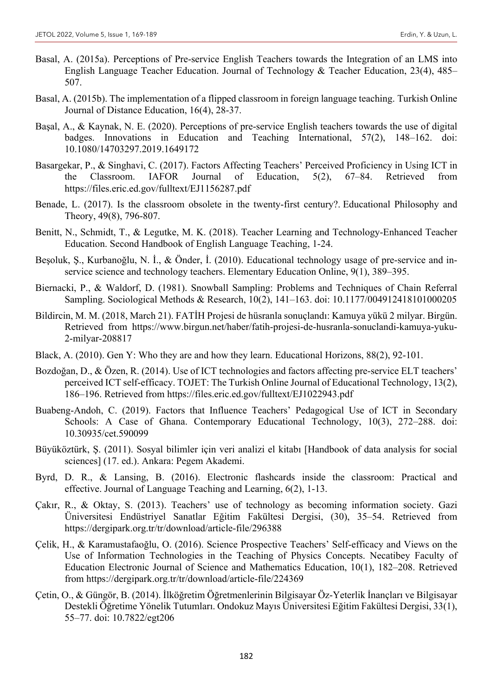- Basal, A. (2015a). Perceptions of Pre-service English Teachers towards the Integration of an LMS into English Language Teacher Education. Journal of Technology & Teacher Education, 23(4), 485– 507.
- Basal, A. (2015b). The implementation of a flipped classroom in foreign language teaching. Turkish Online Journal of Distance Education, 16(4), 28-37.
- Başal, A., & Kaynak, N. E. (2020). Perceptions of pre-service English teachers towards the use of digital badges. Innovations in Education and Teaching International, 57(2), 148–162. doi: 10.1080/14703297.2019.1649172
- Basargekar, P., & Singhavi, C. (2017). Factors Affecting Teachers' Perceived Proficiency in Using ICT in the Classroom. IAFOR Journal of Education, 5(2), 67–84. Retrieved from https://files.eric.ed.gov/fulltext/EJ1156287.pdf
- Benade, L. (2017). Is the classroom obsolete in the twenty-first century?. Educational Philosophy and Theory, 49(8), 796-807.
- Benitt, N., Schmidt, T., & Legutke, M. K. (2018). Teacher Learning and Technology-Enhanced Teacher Education. Second Handbook of English Language Teaching, 1-24.
- Beşoluk, Ş., Kurbanoğlu, N. İ., & Önder, İ. (2010). Educational technology usage of pre-service and inservice science and technology teachers. Elementary Education Online, 9(1), 389–395.
- Biernacki, P., & Waldorf, D. (1981). Snowball Sampling: Problems and Techniques of Chain Referral Sampling. Sociological Methods & Research, 10(2), 141–163. doi: 10.1177/004912418101000205
- Bildircin, M. M. (2018, March 21). FATİH Projesi de hüsranla sonuçlandı: Kamuya yükü 2 milyar. Birgün. Retrieved from https://www.birgun.net/haber/fatih-projesi-de-husranla-sonuclandi-kamuya-yuku-2-milyar-208817
- Black, A. (2010). Gen Y: Who they are and how they learn. Educational Horizons, 88(2), 92-101.
- Bozdoğan, D., & Özen, R. (2014). Use of ICT technologies and factors affecting pre-service ELT teachers' perceived ICT self-efficacy. TOJET: The Turkish Online Journal of Educational Technology, 13(2), 186–196. Retrieved from https://files.eric.ed.gov/fulltext/EJ1022943.pdf
- Buabeng-Andoh, C. (2019). Factors that Influence Teachers' Pedagogical Use of ICT in Secondary Schools: A Case of Ghana. Contemporary Educational Technology, 10(3), 272–288. doi: 10.30935/cet.590099
- Büyüköztürk, Ş. (2011). Sosyal bilimler için veri analizi el kitabı [Handbook of data analysis for social sciences] (17. ed.). Ankara: Pegem Akademi.
- Byrd, D. R., & Lansing, B. (2016). Electronic flashcards inside the classroom: Practical and effective. Journal of Language Teaching and Learning, 6(2), 1-13.
- Çakır, R., & Oktay, S. (2013). Teachers' use of technology as becoming information society. Gazi Üniversitesi Endüstriyel Sanatlar Eğitim Fakültesi Dergisi, (30), 35–54. Retrieved from https://dergipark.org.tr/tr/download/article-file/296388
- Çelik, H., & Karamustafaoğlu, O. (2016). Science Prospective Teachers' Self-efficacy and Views on the Use of Information Technologies in the Teaching of Physics Concepts. Necatibey Faculty of Education Electronic Journal of Science and Mathematics Education, 10(1), 182–208. Retrieved from https://dergipark.org.tr/tr/download/article-file/224369
- Çetin, O., & Güngör, B. (2014). İlköğretim Öğretmenlerinin Bilgisayar Öz-Yeterlik İnançları ve Bilgisayar Destekli Öğretime Yönelik Tutumları. Ondokuz Mayıs Üniversitesi Eğitim Fakültesi Dergisi, 33(1), 55–77. doi: 10.7822/egt206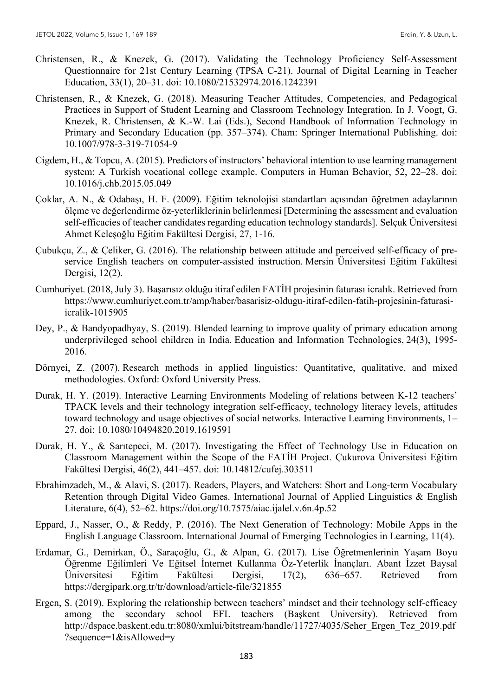- Christensen, R., & Knezek, G. (2017). Validating the Technology Proficiency Self-Assessment Questionnaire for 21st Century Learning (TPSA C-21). Journal of Digital Learning in Teacher Education, 33(1), 20–31. doi: 10.1080/21532974.2016.1242391
- Christensen, R., & Knezek, G. (2018). Measuring Teacher Attitudes, Competencies, and Pedagogical Practices in Support of Student Learning and Classroom Technology Integration. In J. Voogt, G. Knezek, R. Christensen, & K.-W. Lai (Eds.), Second Handbook of Information Technology in Primary and Secondary Education (pp. 357–374). Cham: Springer International Publishing. doi: 10.1007/978-3-319-71054-9
- Cigdem, H., & Topcu, A. (2015). Predictors of instructors' behavioral intention to use learning management system: A Turkish vocational college example. Computers in Human Behavior, 52, 22–28. doi: 10.1016/j.chb.2015.05.049
- Çoklar, A. N., & Odabaşı, H. F. (2009). Eğitim teknolojisi standartları açısından öğretmen adaylarının ölçme ve değerlendirme öz-yeterliklerinin belirlenmesi [Determining the assessment and evaluation self-efficacies of teacher candidates regarding education technology standards]. Selçuk Üniversitesi Ahmet Keleşoğlu Eğitim Fakültesi Dergisi, 27, 1-16.
- Çubukçu, Z., & Çeliker, G. (2016). The relationship between attitude and perceived self-efficacy of preservice English teachers on computer-assisted instruction. Mersin Üniversitesi Eğitim Fakültesi Dergisi, 12(2).
- Cumhuriyet. (2018, July 3). Başarısız olduğu itiraf edilen FATİH projesinin faturası icralık. Retrieved from https://www.cumhuriyet.com.tr/amp/haber/basarisiz-oldugu-itiraf-edilen-fatih-projesinin-faturasiicralik-1015905
- Dey, P., & Bandyopadhyay, S. (2019). Blended learning to improve quality of primary education among underprivileged school children in India. Education and Information Technologies, 24(3), 1995- 2016.
- Dörnyei, Z. (2007). Research methods in applied linguistics: Quantitative, qualitative, and mixed methodologies. Oxford: Oxford University Press.
- Durak, H. Y. (2019). Interactive Learning Environments Modeling of relations between K-12 teachers' TPACK levels and their technology integration self-efficacy, technology literacy levels, attitudes toward technology and usage objectives of social networks. Interactive Learning Environments, 1– 27. doi: 10.1080/10494820.2019.1619591
- Durak, H. Y., & Sarıtepeci, M. (2017). Investigating the Effect of Technology Use in Education on Classroom Management within the Scope of the FATİH Project. Çukurova Üniversitesi Eğitim Fakültesi Dergisi, 46(2), 441–457. doi: 10.14812/cufej.303511
- Ebrahimzadeh, M., & Alavi, S. (2017). Readers, Players, and Watchers: Short and Long-term Vocabulary Retention through Digital Video Games. International Journal of Applied Linguistics & English Literature, 6(4), 52–62. https://doi.org/10.7575/aiac.ijalel.v.6n.4p.52
- Eppard, J., Nasser, O., & Reddy, P. (2016). The Next Generation of Technology: Mobile Apps in the English Language Classroom. International Journal of Emerging Technologies in Learning, 11(4).
- Erdamar, G., Demirkan, Ö., Saraçoğlu, G., & Alpan, G. (2017). Lise Öğretmenlerinin Yaşam Boyu Öğrenme Eğilimleri Ve Eğitsel İnternet Kullanma Öz-Yeterlik İnançları. Abant İzzet Baysal Üniversitesi Eğitim Fakültesi Dergisi, 17(2), 636–657. Retrieved from https://dergipark.org.tr/tr/download/article-file/321855
- Ergen, S. (2019). Exploring the relationship between teachers' mindset and their technology self-efficacy among the secondary school EFL teachers (Başkent University). Retrieved from http://dspace.baskent.edu.tr:8080/xmlui/bitstream/handle/11727/4035/Seher\_Ergen\_Tez\_2019.pdf ?sequence=1&isAllowed=y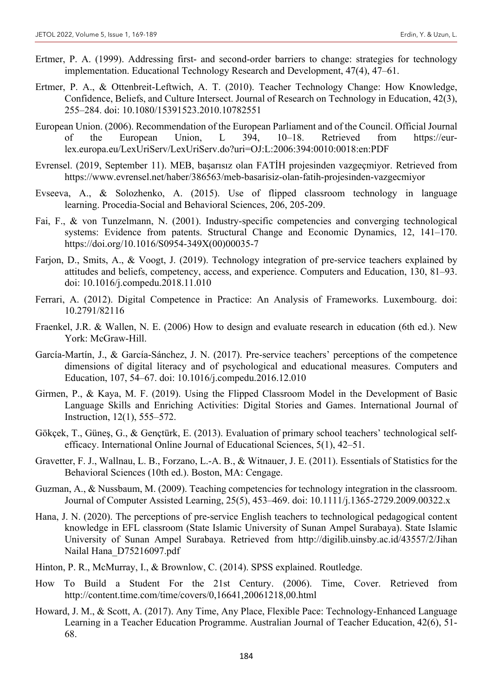- Ertmer, P. A. (1999). Addressing first- and second-order barriers to change: strategies for technology implementation. Educational Technology Research and Development, 47(4), 47–61.
- Ertmer, P. A., & Ottenbreit-Leftwich, A. T. (2010). Teacher Technology Change: How Knowledge, Confidence, Beliefs, and Culture Intersect. Journal of Research on Technology in Education, 42(3), 255–284. doi: 10.1080/15391523.2010.10782551
- European Union. (2006). Recommendation of the European Parliament and of the Council. Official Journal of the European Union, L 394, 10–18. Retrieved from https://eurlex.europa.eu/LexUriServ/LexUriServ.do?uri=OJ:L:2006:394:0010:0018:en:PDF
- Evrensel. (2019, September 11). MEB, başarısız olan FATİH projesinden vazgeçmiyor. Retrieved from https://www.evrensel.net/haber/386563/meb-basarisiz-olan-fatih-projesinden-vazgecmiyor
- Evseeva, A., & Solozhenko, A. (2015). Use of flipped classroom technology in language learning. Procedia-Social and Behavioral Sciences, 206, 205-209.
- Fai, F., & von Tunzelmann, N. (2001). Industry-specific competencies and converging technological systems: Evidence from patents. Structural Change and Economic Dynamics, 12, 141–170. https://doi.org/10.1016/S0954-349X(00)00035-7
- Farjon, D., Smits, A., & Voogt, J. (2019). Technology integration of pre-service teachers explained by attitudes and beliefs, competency, access, and experience. Computers and Education, 130, 81–93. doi: 10.1016/j.compedu.2018.11.010
- Ferrari, A. (2012). Digital Competence in Practice: An Analysis of Frameworks. Luxembourg. doi: 10.2791/82116
- Fraenkel, J.R. & Wallen, N. E. (2006) How to design and evaluate research in education (6th ed.). New York: McGraw-Hill.
- García-Martín, J., & García-Sánchez, J. N. (2017). Pre-service teachers' perceptions of the competence dimensions of digital literacy and of psychological and educational measures. Computers and Education, 107, 54–67. doi: 10.1016/j.compedu.2016.12.010
- Girmen, P., & Kaya, M. F. (2019). Using the Flipped Classroom Model in the Development of Basic Language Skills and Enriching Activities: Digital Stories and Games. International Journal of Instruction, 12(1), 555–572.
- Gökçek, T., Güneş, G., & Gençtürk, E. (2013). Evaluation of primary school teachers' technological selfefficacy. International Online Journal of Educational Sciences, 5(1), 42–51.
- Gravetter, F. J., Wallnau, L. B., Forzano, L.-A. B., & Witnauer, J. E. (2011). Essentials of Statistics for the Behavioral Sciences (10th ed.). Boston, MA: Cengage.
- Guzman, A., & Nussbaum, M. (2009). Teaching competencies for technology integration in the classroom. Journal of Computer Assisted Learning, 25(5), 453–469. doi: 10.1111/j.1365-2729.2009.00322.x
- Hana, J. N. (2020). The perceptions of pre-service English teachers to technological pedagogical content knowledge in EFL classroom (State Islamic University of Sunan Ampel Surabaya). State Islamic University of Sunan Ampel Surabaya. Retrieved from http://digilib.uinsby.ac.id/43557/2/Jihan Nailal Hana\_D75216097.pdf
- Hinton, P. R., McMurray, I., & Brownlow, C. (2014). SPSS explained. Routledge.
- How To Build a Student For the 21st Century. (2006). Time, Cover. Retrieved from http://content.time.com/time/covers/0,16641,20061218,00.html
- Howard, J. M., & Scott, A. (2017). Any Time, Any Place, Flexible Pace: Technology-Enhanced Language Learning in a Teacher Education Programme. Australian Journal of Teacher Education, 42(6), 51- 68.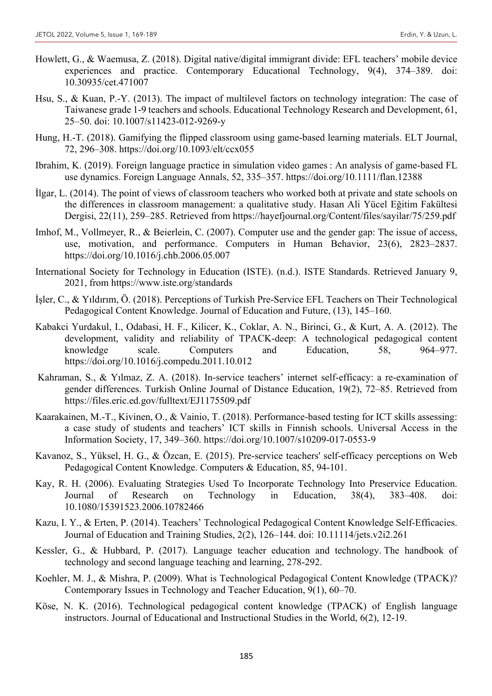- Howlett, G., & Waemusa, Z. (2018). Digital native/digital immigrant divide: EFL teachers' mobile device experiences and practice. Contemporary Educational Technology, 9(4), 374–389. doi: 10.30935/cet.471007
- Hsu, S., & Kuan, P.-Y. (2013). The impact of multilevel factors on technology integration: The case of Taiwanese grade 1-9 teachers and schools. Educational Technology Research and Development, 61, 25–50. doi: 10.1007/s11423-012-9269-y
- Hung, H.-T. (2018). Gamifying the flipped classroom using game-based learning materials. ELT Journal, 72, 296–308. https://doi.org/10.1093/elt/ccx055
- Ibrahim, K. (2019). Foreign language practice in simulation video games : An analysis of game‐based FL use dynamics. Foreign Language Annals, 52, 335–357. https://doi.org/10.1111/flan.12388
- İlgar, L. (2014). The point of views of classroom teachers who worked both at private and state schools on the differences in classroom management: a qualitative study. Hasan Ali Yücel Eğitim Fakültesi Dergisi, 22(11), 259–285. Retrieved from https://hayefjournal.org/Content/files/sayilar/75/259.pdf
- Imhof, M., Vollmeyer, R., & Beierlein, C. (2007). Computer use and the gender gap: The issue of access, use, motivation, and performance. Computers in Human Behavior, 23(6), 2823–2837. https://doi.org/10.1016/j.chb.2006.05.007
- International Society for Technology in Education (ISTE). (n.d.). ISTE Standards. Retrieved January 9, 2021, from https://www.iste.org/standards
- İşler, C., & Yıldırım, Ö. (2018). Perceptions of Turkish Pre-Service EFL Teachers on Their Technological Pedagogical Content Knowledge. Journal of Education and Future, (13), 145–160.
- Kabakci Yurdakul, I., Odabasi, H. F., Kilicer, K., Coklar, A. N., Birinci, G., & Kurt, A. A. (2012). The development, validity and reliability of TPACK-deep: A technological pedagogical content knowledge scale. Computers and Education, 58, 964–977. https://doi.org/10.1016/j.compedu.2011.10.012
- Kahraman, S., & Yılmaz, Z. A. (2018). In-service teachers' internet self-efficacy: a re-examination of gender differences. Turkish Online Journal of Distance Education, 19(2), 72–85. Retrieved from https://files.eric.ed.gov/fulltext/EJ1175509.pdf
- Kaarakainen, M.-T., Kivinen, O., & Vainio, T. (2018). Performance-based testing for ICT skills assessing: a case study of students and teachers' ICT skills in Finnish schools. Universal Access in the Information Society, 17, 349–360. https://doi.org/10.1007/s10209-017-0553-9
- Kavanoz, S., Yüksel, H. G., & Özcan, E. (2015). Pre-service teachers' self-efficacy perceptions on Web Pedagogical Content Knowledge. Computers & Education, 85, 94-101.
- Kay, R. H. (2006). Evaluating Strategies Used To Incorporate Technology Into Preservice Education. Journal of Research on Technology in Education, 38(4), 383–408. doi: 10.1080/15391523.2006.10782466
- Kazu, I. Y., & Erten, P. (2014). Teachers' Technological Pedagogical Content Knowledge Self-Efficacies. Journal of Education and Training Studies, 2(2), 126–144. doi: 10.11114/jets.v2i2.261
- Kessler, G., & Hubbard, P. (2017). Language teacher education and technology. The handbook of technology and second language teaching and learning, 278-292.
- Koehler, M. J., & Mishra, P. (2009). What is Technological Pedagogical Content Knowledge (TPACK)? Contemporary Issues in Technology and Teacher Education, 9(1), 60–70.
- Köse, N. K. (2016). Technological pedagogical content knowledge (TPACK) of English language instructors. Journal of Educational and Instructional Studies in the World, 6(2), 12-19.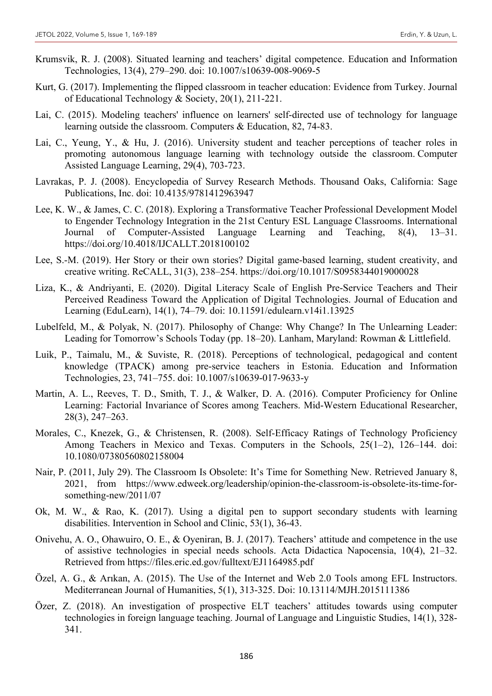- Krumsvik, R. J. (2008). Situated learning and teachers' digital competence. Education and Information Technologies, 13(4), 279–290. doi: 10.1007/s10639-008-9069-5
- Kurt, G. (2017). Implementing the flipped classroom in teacher education: Evidence from Turkey. Journal of Educational Technology & Society, 20(1), 211-221.
- Lai, C. (2015). Modeling teachers' influence on learners' self-directed use of technology for language learning outside the classroom. Computers & Education, 82, 74-83.
- Lai, C., Yeung, Y., & Hu, J. (2016). University student and teacher perceptions of teacher roles in promoting autonomous language learning with technology outside the classroom. Computer Assisted Language Learning, 29(4), 703-723.
- Lavrakas, P. J. (2008). Encyclopedia of Survey Research Methods. Thousand Oaks, California: Sage Publications, Inc. doi: 10.4135/9781412963947
- Lee, K. W., & James, C. C. (2018). Exploring a Transformative Teacher Professional Development Model to Engender Technology Integration in the 21st Century ESL Language Classrooms. International Journal of Computer-Assisted Language Learning and Teaching, 8(4), 13–31. https://doi.org/10.4018/IJCALLT.2018100102
- Lee, S.-M. (2019). Her Story or their own stories? Digital game-based learning, student creativity, and creative writing. ReCALL, 31(3), 238–254. https://doi.org/10.1017/S0958344019000028
- Liza, K., & Andriyanti, E. (2020). Digital Literacy Scale of English Pre-Service Teachers and Their Perceived Readiness Toward the Application of Digital Technologies. Journal of Education and Learning (EduLearn), 14(1), 74–79. doi: 10.11591/edulearn.v14i1.13925
- Lubelfeld, M., & Polyak, N. (2017). Philosophy of Change: Why Change? In The Unlearning Leader: Leading for Tomorrow's Schools Today (pp. 18–20). Lanham, Maryland: Rowman & Littlefield.
- Luik, P., Taimalu, M., & Suviste, R. (2018). Perceptions of technological, pedagogical and content knowledge (TPACK) among pre-service teachers in Estonia. Education and Information Technologies, 23, 741–755. doi: 10.1007/s10639-017-9633-y
- Martin, A. L., Reeves, T. D., Smith, T. J., & Walker, D. A. (2016). Computer Proficiency for Online Learning: Factorial Invariance of Scores among Teachers. Mid-Western Educational Researcher, 28(3), 247–263.
- Morales, C., Knezek, G., & Christensen, R. (2008). Self-Efficacy Ratings of Technology Proficiency Among Teachers in Mexico and Texas. Computers in the Schools, 25(1–2), 126–144. doi: 10.1080/07380560802158004
- Nair, P. (2011, July 29). The Classroom Is Obsolete: It's Time for Something New. Retrieved January 8, 2021, from https://www.edweek.org/leadership/opinion-the-classroom-is-obsolete-its-time-forsomething-new/2011/07
- Ok, M. W., & Rao, K. (2017). Using a digital pen to support secondary students with learning disabilities. Intervention in School and Clinic, 53(1), 36-43.
- Onivehu, A. O., Ohawuiro, O. E., & Oyeniran, B. J. (2017). Teachers' attitude and competence in the use of assistive technologies in special needs schools. Acta Didactica Napocensia, 10(4), 21–32. Retrieved from https://files.eric.ed.gov/fulltext/EJ1164985.pdf
- Özel, A. G., & Arıkan, A. (2015). The Use of the Internet and Web 2.0 Tools among EFL Instructors. Mediterranean Journal of Humanities, 5(1), 313-325. Doi: 10.13114/MJH.2015111386
- Özer, Z. (2018). An investigation of prospective ELT teachers' attitudes towards using computer technologies in foreign language teaching. Journal of Language and Linguistic Studies, 14(1), 328- 341.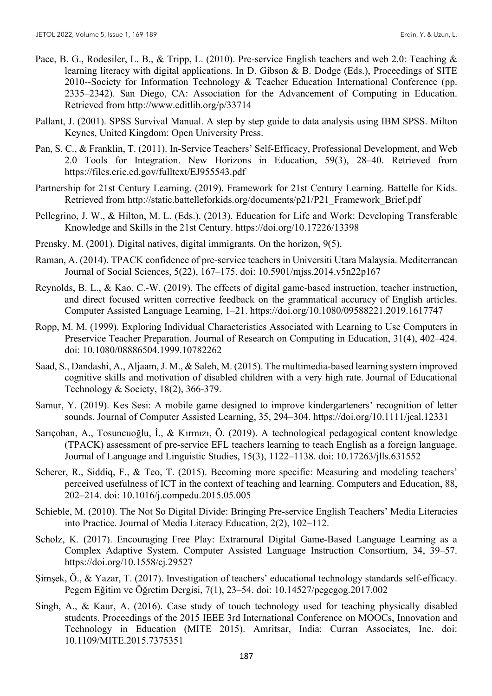- Pace, B. G., Rodesiler, L. B., & Tripp, L. (2010). Pre-service English teachers and web 2.0: Teaching & learning literacy with digital applications. In D. Gibson & B. Dodge (Eds.), Proceedings of SITE 2010--Society for Information Technology & Teacher Education International Conference (pp. 2335–2342). San Diego, CA: Association for the Advancement of Computing in Education. Retrieved from http://www.editlib.org/p/33714
- Pallant, J. (2001). SPSS Survival Manual. A step by step guide to data analysis using IBM SPSS. Milton Keynes, United Kingdom: Open University Press.
- Pan, S. C., & Franklin, T. (2011). In-Service Teachers' Self-Efficacy, Professional Development, and Web 2.0 Tools for Integration. New Horizons in Education, 59(3), 28–40. Retrieved from https://files.eric.ed.gov/fulltext/EJ955543.pdf
- Partnership for 21st Century Learning. (2019). Framework for 21st Century Learning. Battelle for Kids. Retrieved from http://static.battelleforkids.org/documents/p21/P21\_Framework\_Brief.pdf
- Pellegrino, J. W., & Hilton, M. L. (Eds.). (2013). Education for Life and Work: Developing Transferable Knowledge and Skills in the 21st Century. https://doi.org/10.17226/13398
- Prensky, M. (2001). Digital natives, digital immigrants. On the horizon, 9(5).
- Raman, A. (2014). TPACK confidence of pre-service teachers in Universiti Utara Malaysia. Mediterranean Journal of Social Sciences, 5(22), 167–175. doi: 10.5901/mjss.2014.v5n22p167
- Reynolds, B. L., & Kao, C.-W. (2019). The effects of digital game-based instruction, teacher instruction, and direct focused written corrective feedback on the grammatical accuracy of English articles. Computer Assisted Language Learning, 1–21. https://doi.org/10.1080/09588221.2019.1617747
- Ropp, M. M. (1999). Exploring Individual Characteristics Associated with Learning to Use Computers in Preservice Teacher Preparation. Journal of Research on Computing in Education, 31(4), 402–424. doi: 10.1080/08886504.1999.10782262
- Saad, S., Dandashi, A., Aljaam, J. M., & Saleh, M. (2015). The multimedia-based learning system improved cognitive skills and motivation of disabled children with a very high rate. Journal of Educational Technology & Society, 18(2), 366-379.
- Samur, Y. (2019). Kes Sesi: A mobile game designed to improve kindergarteners' recognition of letter sounds. Journal of Computer Assisted Learning, 35, 294–304. https://doi.org/10.1111/jcal.12331
- Sarıçoban, A., Tosuncuoğlu, İ., & Kırmızı, Ö. (2019). A technological pedagogical content knowledge (TPACK) assessment of pre-service EFL teachers learning to teach English as a foreign language. Journal of Language and Linguistic Studies, 15(3), 1122–1138. doi: 10.17263/jlls.631552
- Scherer, R., Siddiq, F., & Teo, T. (2015). Becoming more specific: Measuring and modeling teachers' perceived usefulness of ICT in the context of teaching and learning. Computers and Education, 88, 202–214. doi: 10.1016/j.compedu.2015.05.005
- Schieble, M. (2010). The Not So Digital Divide: Bringing Pre-service English Teachers' Media Literacies into Practice. Journal of Media Literacy Education, 2(2), 102–112.
- Scholz, K. (2017). Encouraging Free Play: Extramural Digital Game-Based Language Learning as a Complex Adaptive System. Computer Assisted Language Instruction Consortium, 34, 39–57. https://doi.org/10.1558/cj.29527
- Şimşek, Ö., & Yazar, T. (2017). Investigation of teachers' educational technology standards self-efficacy. Pegem Eğitim ve Öğretim Dergisi, 7(1), 23–54. doi: 10.14527/pegegog.2017.002
- Singh, A., & Kaur, A. (2016). Case study of touch technology used for teaching physically disabled students. Proceedings of the 2015 IEEE 3rd International Conference on MOOCs, Innovation and Technology in Education (MITE 2015). Amritsar, India: Curran Associates, Inc. doi: 10.1109/MITE.2015.7375351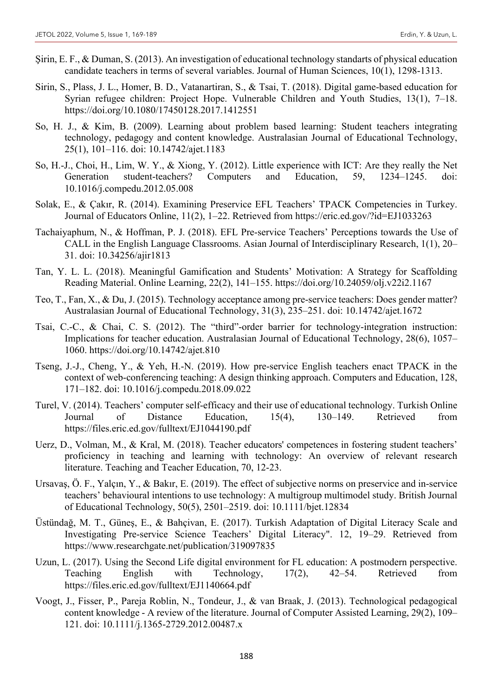- Şirin, E. F., & Duman, S. (2013). An investigation of educational technology standarts of physical education candidate teachers in terms of several variables. Journal of Human Sciences, 10(1), 1298-1313.
- Sirin, S., Plass, J. L., Homer, B. D., Vatanartiran, S., & Tsai, T. (2018). Digital game-based education for Syrian refugee children: Project Hope. Vulnerable Children and Youth Studies, 13(1), 7–18. https://doi.org/10.1080/17450128.2017.1412551
- So, H. J., & Kim, B. (2009). Learning about problem based learning: Student teachers integrating technology, pedagogy and content knowledge. Australasian Journal of Educational Technology, 25(1), 101–116. doi: 10.14742/ajet.1183
- So, H.-J., Choi, H., Lim, W. Y., & Xiong, Y. (2012). Little experience with ICT: Are they really the Net Generation student-teachers? Computers and Education, 59, 1234–1245. doi: 10.1016/j.compedu.2012.05.008
- Solak, E., & Çakır, R. (2014). Examining Preservice EFL Teachers' TPACK Competencies in Turkey. Journal of Educators Online, 11(2), 1–22. Retrieved from https://eric.ed.gov/?id=EJ1033263
- Tachaiyaphum, N., & Hoffman, P. J. (2018). EFL Pre-service Teachers' Perceptions towards the Use of CALL in the English Language Classrooms. Asian Journal of Interdisciplinary Research, 1(1), 20– 31. doi: 10.34256/ajir1813
- Tan, Y. L. L. (2018). Meaningful Gamification and Students' Motivation: A Strategy for Scaffolding Reading Material. Online Learning, 22(2), 141–155. https://doi.org/10.24059/olj.v22i2.1167
- Teo, T., Fan, X., & Du, J. (2015). Technology acceptance among pre-service teachers: Does gender matter? Australasian Journal of Educational Technology, 31(3), 235–251. doi: 10.14742/ajet.1672
- Tsai, C.-C., & Chai, C. S. (2012). The "third"-order barrier for technology-integration instruction: Implications for teacher education. Australasian Journal of Educational Technology, 28(6), 1057– 1060. https://doi.org/10.14742/ajet.810
- Tseng, J.-J., Cheng, Y., & Yeh, H.-N. (2019). How pre-service English teachers enact TPACK in the context of web-conferencing teaching: A design thinking approach. Computers and Education, 128, 171–182. doi: 10.1016/j.compedu.2018.09.022
- Turel, V. (2014). Teachers' computer self-efficacy and their use of educational technology. Turkish Online Journal of Distance Education, 15(4), 130–149. Retrieved from https://files.eric.ed.gov/fulltext/EJ1044190.pdf
- Uerz, D., Volman, M., & Kral, M. (2018). Teacher educators' competences in fostering student teachers' proficiency in teaching and learning with technology: An overview of relevant research literature. Teaching and Teacher Education, 70, 12-23.
- Ursavaş, Ö. F., Yalçın, Y., & Bakır, E. (2019). The effect of subjective norms on preservice and in‐service teachers' behavioural intentions to use technology: A multigroup multimodel study. British Journal of Educational Technology, 50(5), 2501–2519. doi: 10.1111/bjet.12834
- Üstündağ, M. T., Güneş, E., & Bahçivan, E. (2017). Turkish Adaptation of Digital Literacy Scale and Investigating Pre-service Science Teachers' Digital Literacy". 12, 19–29. Retrieved from https://www.researchgate.net/publication/319097835
- Uzun, L. (2017). Using the Second Life digital environment for FL education: A postmodern perspective. Teaching English with Technology, 17(2), 42–54. Retrieved from https://files.eric.ed.gov/fulltext/EJ1140664.pdf
- Voogt, J., Fisser, P., Pareja Roblin, N., Tondeur, J., & van Braak, J. (2013). Technological pedagogical content knowledge - A review of the literature. Journal of Computer Assisted Learning, 29(2), 109– 121. doi: 10.1111/j.1365-2729.2012.00487.x